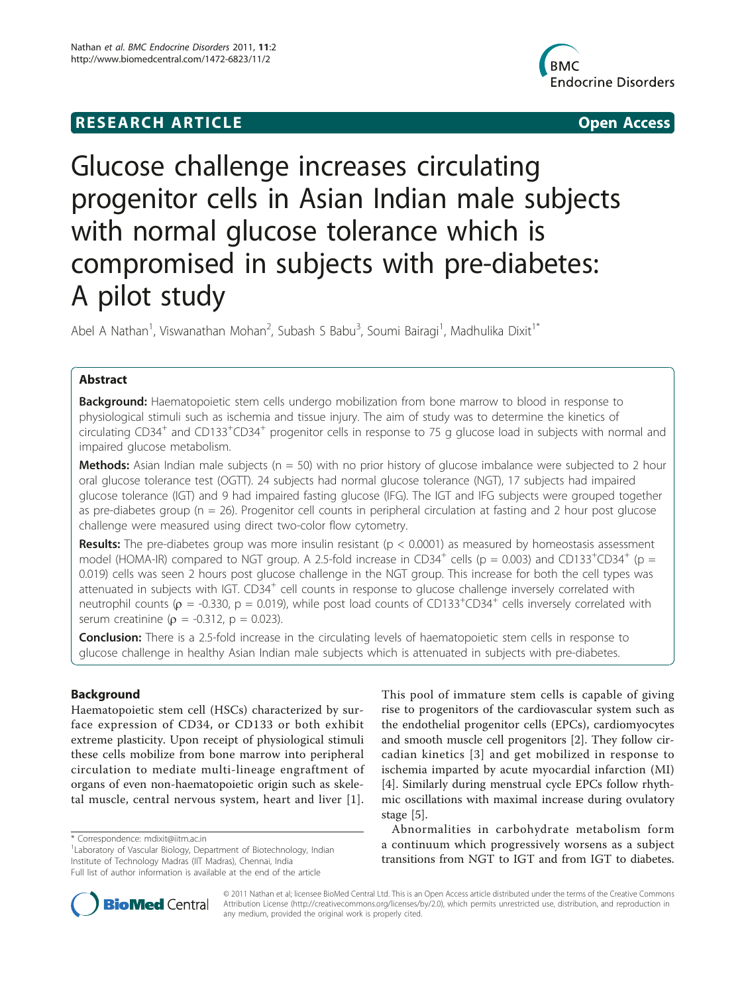# **RESEARCH ARTICLE Example 2014 12:30 The Contract of Contract ACCESS**



# Glucose challenge increases circulating progenitor cells in Asian Indian male subjects with normal glucose tolerance which is compromised in subjects with pre-diabetes: A pilot study

Abel A Nathan<sup>1</sup>, Viswanathan Mohan<sup>2</sup>, Subash S Babu<sup>3</sup>, Soumi Bairagi<sup>1</sup>, Madhulika Dixit<sup>1\*</sup>

# Abstract

**Background:** Haematopoietic stem cells undergo mobilization from bone marrow to blood in response to physiological stimuli such as ischemia and tissue injury. The aim of study was to determine the kinetics of  $C$  circulating CD34<sup>+</sup> and CD133<sup>+</sup>CD34<sup>+</sup> progenitor cells in response to 75 g glucose load in subjects with normal and impaired glucose metabolism.

**Methods:** Asian Indian male subjects ( $n = 50$ ) with no prior history of glucose imbalance were subjected to 2 hour oral glucose tolerance test (OGTT). 24 subjects had normal glucose tolerance (NGT), 17 subjects had impaired glucose tolerance (IGT) and 9 had impaired fasting glucose (IFG). The IGT and IFG subjects were grouped together as pre-diabetes group (n = 26). Progenitor cell counts in peripheral circulation at fasting and 2 hour post glucose challenge were measured using direct two-color flow cytometry.

**Results:** The pre-diabetes group was more insulin resistant ( $p < 0.0001$ ) as measured by homeostasis assessment model (HOMA-IR) compared to NGT group. A 2.5-fold increase in CD34<sup>+</sup> cells (p = 0.003) and CD133<sup>+</sup>CD34<sup>+</sup> (p = 0.019) cells was seen 2 hours post glucose challenge in the NGT group. This increase for both the cell types was attenuated in subjects with IGT. CD34<sup>+</sup> cell counts in response to glucose challenge inversely correlated with neutrophil counts ( $\rho$  = -0.330, p = 0.019), while post load counts of CD133<sup>+</sup>CD34<sup>+</sup> cells inversely correlated with serum creatinine ( $\rho = -0.312$ ,  $p = 0.023$ ).

**Conclusion:** There is a 2.5-fold increase in the circulating levels of haematopoietic stem cells in response to glucose challenge in healthy Asian Indian male subjects which is attenuated in subjects with pre-diabetes.

# Background

Haematopoietic stem cell (HSCs) characterized by surface expression of CD34, or CD133 or both exhibit extreme plasticity. Upon receipt of physiological stimuli these cells mobilize from bone marrow into peripheral circulation to mediate multi-lineage engraftment of organs of even non-haematopoietic origin such as skeletal muscle, central nervous system, heart and liver [[1](#page-6-0)].

<sup>1</sup> Laboratory of Vascular Biology, Department of Biotechnology, Indian Institute of Technology Madras (IIT Madras), Chennai, India Full list of author information is available at the end of the article

This pool of immature stem cells is capable of giving rise to progenitors of the cardiovascular system such as the endothelial progenitor cells (EPCs), cardiomyocytes and smooth muscle cell progenitors [[2\]](#page-6-0). They follow circadian kinetics [[3\]](#page-6-0) and get mobilized in response to ischemia imparted by acute myocardial infarction (MI) [[4\]](#page-6-0). Similarly during menstrual cycle EPCs follow rhythmic oscillations with maximal increase during ovulatory stage [\[5](#page-6-0)].

Abnormalities in carbohydrate metabolism form a continuum which progressively worsens as a subject transitions from NGT to IGT and from IGT to diabetes.



© 2011 Nathan et al; licensee BioMed Central Ltd. This is an Open Access article distributed under the terms of the Creative Commons Attribution License [\(http://creativecommons.org/licenses/by/2.0](http://creativecommons.org/licenses/by/2.0)), which permits unrestricted use, distribution, and reproduction in any medium, provided the original work is properly cited.

<sup>\*</sup> Correspondence: [mdixit@iitm.ac.in](mailto:mdixit@iitm.ac.in)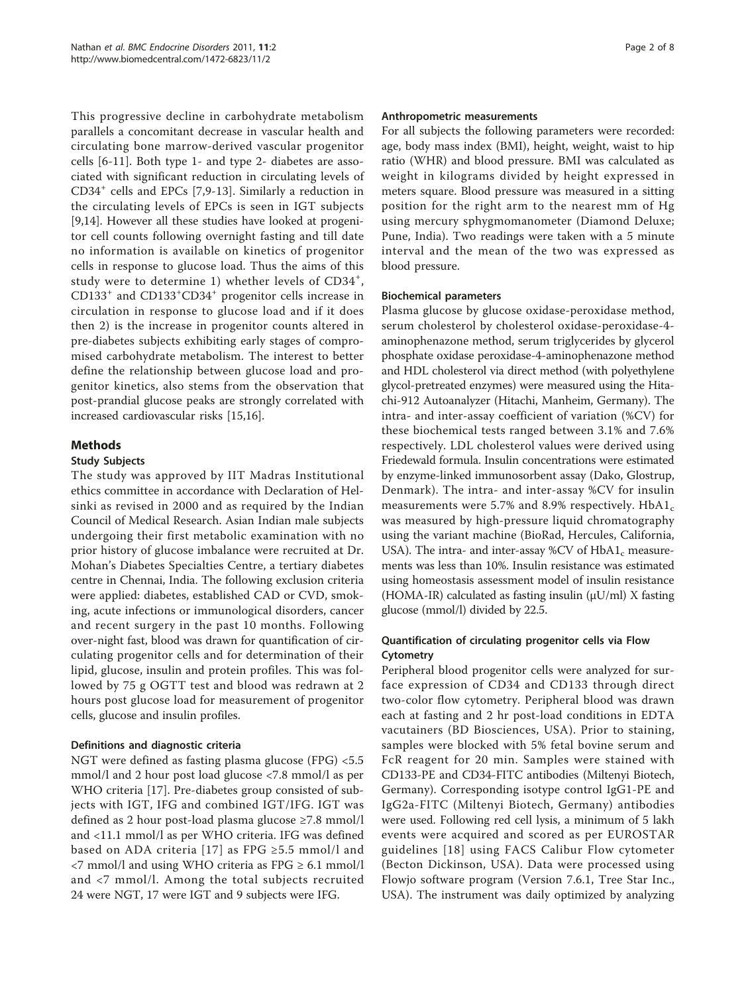This progressive decline in carbohydrate metabolism parallels a concomitant decrease in vascular health and circulating bone marrow-derived vascular progenitor cells [\[6](#page-6-0)-[11](#page-6-0)]. Both type 1- and type 2- diabetes are associated with significant reduction in circulating levels of  $CD34<sup>+</sup>$  cells and EPCs [[7,9-13\]](#page-6-0). Similarly a reduction in the circulating levels of EPCs is seen in IGT subjects [[9,14\]](#page-6-0). However all these studies have looked at progenitor cell counts following overnight fasting and till date no information is available on kinetics of progenitor cells in response to glucose load. Thus the aims of this study were to determine 1) whether levels of CD34<sup>+</sup>, CD133<sup>+</sup> and CD133<sup>+</sup> CD34<sup>+</sup> progenitor cells increase in circulation in response to glucose load and if it does then 2) is the increase in progenitor counts altered in pre-diabetes subjects exhibiting early stages of compromised carbohydrate metabolism. The interest to better define the relationship between glucose load and progenitor kinetics, also stems from the observation that post-prandial glucose peaks are strongly correlated with increased cardiovascular risks [\[15,16\]](#page-6-0).

# Methods

#### Study Subjects

The study was approved by IIT Madras Institutional ethics committee in accordance with Declaration of Helsinki as revised in 2000 and as required by the Indian Council of Medical Research. Asian Indian male subjects undergoing their first metabolic examination with no prior history of glucose imbalance were recruited at Dr. Mohan's Diabetes Specialties Centre, a tertiary diabetes centre in Chennai, India. The following exclusion criteria were applied: diabetes, established CAD or CVD, smoking, acute infections or immunological disorders, cancer and recent surgery in the past 10 months. Following over-night fast, blood was drawn for quantification of circulating progenitor cells and for determination of their lipid, glucose, insulin and protein profiles. This was followed by 75 g OGTT test and blood was redrawn at 2 hours post glucose load for measurement of progenitor cells, glucose and insulin profiles.

# Definitions and diagnostic criteria

NGT were defined as fasting plasma glucose (FPG) <5.5 mmol/l and 2 hour post load glucose <7.8 mmol/l as per WHO criteria [\[17](#page-6-0)]. Pre-diabetes group consisted of subjects with IGT, IFG and combined IGT/IFG. IGT was defined as 2 hour post-load plasma glucose ≥7.8 mmol/l and <11.1 mmol/l as per WHO criteria. IFG was defined based on ADA criteria [[17](#page-6-0)] as FPG  $\geq$ 5.5 mmol/l and <7 mmol/l and using WHO criteria as FPG ≥ 6.1 mmol/l and <7 mmol/l. Among the total subjects recruited 24 were NGT, 17 were IGT and 9 subjects were IFG.

### Anthropometric measurements

For all subjects the following parameters were recorded: age, body mass index (BMI), height, weight, waist to hip ratio (WHR) and blood pressure. BMI was calculated as weight in kilograms divided by height expressed in meters square. Blood pressure was measured in a sitting position for the right arm to the nearest mm of Hg using mercury sphygmomanometer (Diamond Deluxe; Pune, India). Two readings were taken with a 5 minute interval and the mean of the two was expressed as blood pressure.

#### Biochemical parameters

Plasma glucose by glucose oxidase-peroxidase method, serum cholesterol by cholesterol oxidase-peroxidase-4 aminophenazone method, serum triglycerides by glycerol phosphate oxidase peroxidase-4-aminophenazone method and HDL cholesterol via direct method (with polyethylene glycol-pretreated enzymes) were measured using the Hitachi-912 Autoanalyzer (Hitachi, Manheim, Germany). The intra- and inter-assay coefficient of variation (%CV) for these biochemical tests ranged between 3.1% and 7.6% respectively. LDL cholesterol values were derived using Friedewald formula. Insulin concentrations were estimated by enzyme-linked immunosorbent assay (Dako, Glostrup, Denmark). The intra- and inter-assay %CV for insulin measurements were 5.7% and 8.9% respectively.  $HbA1_c$ was measured by high-pressure liquid chromatography using the variant machine (BioRad, Hercules, California, USA). The intra- and inter-assay %CV of  $HbA1_c$  measurements was less than 10%. Insulin resistance was estimated using homeostasis assessment model of insulin resistance (HOMA-IR) calculated as fasting insulin  $(\mu U/ml)$  X fasting glucose (mmol/l) divided by 22.5.

# Quantification of circulating progenitor cells via Flow Cytometry

Peripheral blood progenitor cells were analyzed for surface expression of CD34 and CD133 through direct two-color flow cytometry. Peripheral blood was drawn each at fasting and 2 hr post-load conditions in EDTA vacutainers (BD Biosciences, USA). Prior to staining, samples were blocked with 5% fetal bovine serum and FcR reagent for 20 min. Samples were stained with CD133-PE and CD34-FITC antibodies (Miltenyi Biotech, Germany). Corresponding isotype control IgG1-PE and IgG2a-FITC (Miltenyi Biotech, Germany) antibodies were used. Following red cell lysis, a minimum of 5 lakh events were acquired and scored as per EUROSTAR guidelines [[18](#page-6-0)] using FACS Calibur Flow cytometer (Becton Dickinson, USA). Data were processed using Flowjo software program (Version 7.6.1, Tree Star Inc., USA). The instrument was daily optimized by analyzing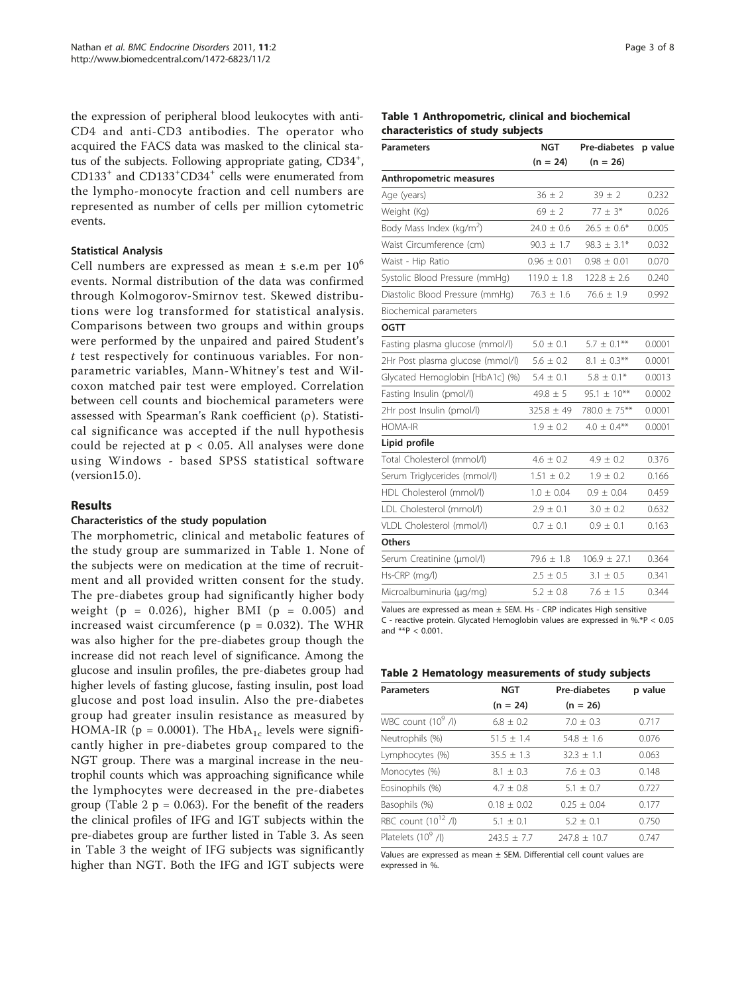the expression of peripheral blood leukocytes with anti-CD4 and anti-CD3 antibodies. The operator who acquired the FACS data was masked to the clinical status of the subjects. Following appropriate gating, CD34<sup>+</sup>, CD133<sup>+</sup> and CD133+ CD34<sup>+</sup> cells were enumerated from the lympho-monocyte fraction and cell numbers are represented as number of cells per million cytometric events.

# Statistical Analysis

Cell numbers are expressed as mean  $\pm$  s.e.m per  $10^6$ events. Normal distribution of the data was confirmed through Kolmogorov-Smirnov test. Skewed distributions were log transformed for statistical analysis. Comparisons between two groups and within groups were performed by the unpaired and paired Student's t test respectively for continuous variables. For nonparametric variables, Mann-Whitney's test and Wilcoxon matched pair test were employed. Correlation between cell counts and biochemical parameters were assessed with Spearman's Rank coefficient  $(\rho)$ . Statistical significance was accepted if the null hypothesis could be rejected at  $p < 0.05$ . All analyses were done using Windows - based SPSS statistical software (version15.0).

# Results

#### Characteristics of the study population

The morphometric, clinical and metabolic features of the study group are summarized in Table 1. None of the subjects were on medication at the time of recruitment and all provided written consent for the study. The pre-diabetes group had significantly higher body weight ( $p = 0.026$ ), higher BMI ( $p = 0.005$ ) and increased waist circumference ( $p = 0.032$ ). The WHR was also higher for the pre-diabetes group though the increase did not reach level of significance. Among the glucose and insulin profiles, the pre-diabetes group had higher levels of fasting glucose, fasting insulin, post load glucose and post load insulin. Also the pre-diabetes group had greater insulin resistance as measured by HOMA-IR ( $p = 0.0001$ ). The HbA<sub>1c</sub> levels were significantly higher in pre-diabetes group compared to the NGT group. There was a marginal increase in the neutrophil counts which was approaching significance while the lymphocytes were decreased in the pre-diabetes group (Table 2  $p = 0.063$ ). For the benefit of the readers the clinical profiles of IFG and IGT subjects within the pre-diabetes group are further listed in Table [3.](#page-3-0) As seen in Table [3](#page-3-0) the weight of IFG subjects was significantly higher than NGT. Both the IFG and IGT subjects were

#### Table 1 Anthropometric, clinical and biochemical characteristics of study subjects

| <b>Parameters</b>                    | <b>NGT</b>      | <b>Pre-diabetes</b> | p value |
|--------------------------------------|-----------------|---------------------|---------|
|                                      | $(n = 24)$      | $(n = 26)$          |         |
| Anthropometric measures              |                 |                     |         |
| Age (years)                          | $36 + 2$        | $39 \pm 2$          | 0.232   |
| Weight (Kg)                          | $69 \pm 2$      | $77 \pm 3*$         | 0.026   |
| Body Mass Index (kg/m <sup>2</sup> ) | $24.0 \pm 0.6$  | $26.5 \pm 0.6*$     | 0.005   |
| Waist Circumference (cm)             | $90.3 \pm 1.7$  | $98.3 \pm 3.1*$     | 0.032   |
| Waist - Hip Ratio                    | $0.96 \pm 0.01$ | $0.98 \pm 0.01$     | 0.070   |
| Systolic Blood Pressure (mmHg)       | $119.0 \pm 1.8$ | $122.8 \pm 2.6$     | 0.240   |
| Diastolic Blood Pressure (mmHg)      | $76.3 \pm 1.6$  | $76.6 \pm 1.9$      | 0.992   |
| Biochemical parameters               |                 |                     |         |
| <b>OGTT</b>                          |                 |                     |         |
| Fasting plasma glucose (mmol/l)      | $5.0 \pm 0.1$   | $5.7 \pm 0.1***$    | 0.0001  |
| 2Hr Post plasma glucose (mmol/l)     | $5.6 \pm 0.2$   | $8.1 \pm 0.3$ **    | 0.0001  |
| Glycated Hemoglobin [HbA1c] (%)      | $5.4 \pm 0.1$   | $5.8 \pm 0.1*$      | 0.0013  |
| Fasting Insulin (pmol/l)             | $49.8 \pm 5$    | $95.1 \pm 10***$    | 0.0002  |
| 2Hr post Insulin (pmol/l)            | $325.8 \pm 49$  | 780.0 ± 75**        | 0.0001  |
| <b>HOMA-IR</b>                       | $1.9 \pm 0.2$   | $4.0 \pm 0.4***$    | 0.0001  |
| Lipid profile                        |                 |                     |         |
| Total Cholesterol (mmol/l)           | $4.6 \pm 0.2$   | $4.9 \pm 0.2$       | 0.376   |
| Serum Triglycerides (mmol/l)         | $1.51 \pm 0.2$  | $1.9 \pm 0.2$       | 0.166   |
| HDL Cholesterol (mmol/l)             | $1.0 \pm 0.04$  | $0.9 \pm 0.04$      | 0.459   |
| LDL Cholesterol (mmol/l)             | $2.9 \pm 0.1$   | $3.0 \pm 0.2$       | 0.632   |
| VLDL Cholesterol (mmol/l)            | $0.7 \pm 0.1$   | $0.9 \pm 0.1$       | 0.163   |
| <b>Others</b>                        |                 |                     |         |
| Serum Creatinine (µmol/l)            | $79.6 \pm 1.8$  | $106.9 \pm 27.1$    | 0.364   |
| Hs-CRP (mg/l)                        | $2.5 \pm 0.5$   | $3.1 \pm 0.5$       | 0.341   |
| Microalbuminuria (µg/mg)             | $5.2 \pm 0.8$   | $7.6 \pm 1.5$       | 0.344   |

Values are expressed as mean  $\pm$  SEM. Hs - CRP indicates High sensitive C - reactive protein. Glycated Hemoglobin values are expressed in %.\*P < 0.05 and  $*$ <sup>+</sup> $P$  < 0.001.

#### Table 2 Hematology measurements of study subjects

| <b>Parameters</b>               | <b>NGT</b>      | Pre-diabetes   | p value |
|---------------------------------|-----------------|----------------|---------|
|                                 | $(n = 24)$      | $(n = 26)$     |         |
| WBC count $(10^9$ /l)           | $6.8 + 0.2$     | $7.0 + 0.3$    | 0.717   |
| Neutrophils (%)                 | $51.5 + 1.4$    | $54.8 + 1.6$   | 0.076   |
| Lymphocytes (%)                 | $35.5 + 1.3$    | $32.3 \pm 1.1$ | 0.063   |
| Monocytes (%)                   | $8.1 + 0.3$     | $7.6 + 0.3$    | 0.148   |
| Eosinophils (%)                 | $4.7 + 0.8$     | $5.1 + 0.7$    | 0.727   |
| Basophils (%)                   | $0.18 + 0.02$   | $0.25 + 0.04$  | 0.177   |
| RBC count (10 <sup>12</sup> /l) | $5.1 \pm 0.1$   | $5.2 + 0.1$    | 0.750   |
| Platelets $(10^9$ /l)           | $243.5 \pm 7.7$ | $747.8 + 10.7$ | 0.747   |
|                                 |                 |                |         |

Values are expressed as mean  $\pm$  SEM. Differential cell count values are expressed in %.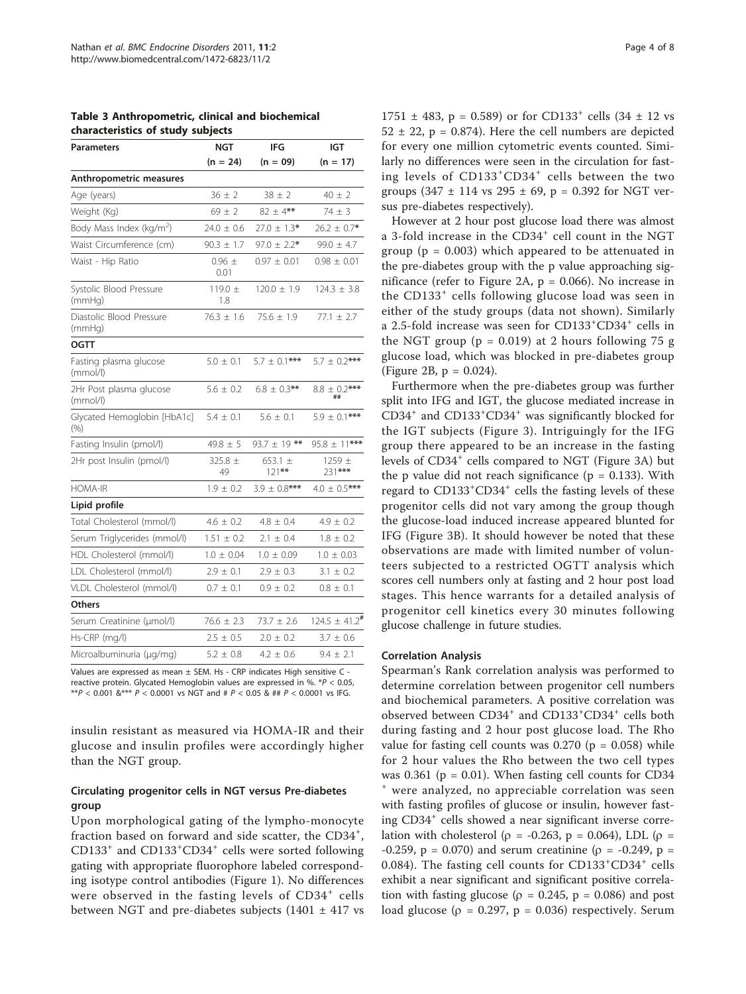<span id="page-3-0"></span>

|  |  |                                   | Table 3 Anthropometric, clinical and biochemical |
|--|--|-----------------------------------|--------------------------------------------------|
|  |  | characteristics of study subjects |                                                  |

| <b>Parameters</b>                   | <b>NGT</b>         | IFG                     | <b>IGT</b>                    |
|-------------------------------------|--------------------|-------------------------|-------------------------------|
|                                     | $(n = 24)$         | $(n = 09)$              | $(n = 17)$                    |
| Anthropometric measures             |                    |                         |                               |
| Age (years)                         | $36 + 2$           | $38 \pm 2$              | $40 + 2$                      |
| Weight (Kg)                         | $69 + 2$           | $82 \pm 4**$            | $74 \pm 3$                    |
| Body Mass Index ( $kg/m2$ )         | $24.0 \pm 0.6$     | $27.0 \pm 1.3*$         | $26.2 \pm 0.7$ *              |
| Waist Circumference (cm)            | $90.3 \pm 1.7$     | $97.0 \pm 2.2$ *        | $99.0 \pm 4.7$                |
| Waist - Hip Ratio                   | $0.96 \pm$<br>0.01 | $0.97 \pm 0.01$         | $0.98 \pm 0.01$               |
| Systolic Blood Pressure<br>(mmHq)   | 119.0 $\pm$<br>1.8 | $120.0 \pm 1.9$         | $124.3 \pm 3.8$               |
| Diastolic Blood Pressure<br>(mmHq)  | $76.3 \pm 1.6$     | $75.6 \pm 1.9$          | $77.1 \pm 2.7$                |
| <b>OGTT</b>                         |                    |                         |                               |
| Fasting plasma glucose<br>(mmol/l)  | $5.0 \pm 0.1$      | $5.7 \pm 0.1***$        | $5.7 \pm 0.2$ ***             |
| 2Hr Post plasma glucose<br>(mmol/l) | $5.6 \pm 0.2$      | $6.8 \pm 0.3$ **        | $8.8 \pm 0.2$ ***<br>##       |
| Glycated Hemoglobin [HbA1c]<br>(% ) | $5.4 \pm 0.1$      | $5.6 \pm 0.1$           | $5.9 \pm 0.1***$              |
| Fasting Insulin (pmol/l)            | $49.8 \pm 5$       | $93.7 \pm 19$ **        | $95.8 \pm 11***$              |
| 2Hr post Insulin (pmol/l)           | $325.8 \pm$<br>49  | 653.1 $\pm$<br>$121***$ | $1259 \pm$<br>231***          |
| <b>HOMA-IR</b>                      | $1.9 \pm 0.2$      | $3.9 \pm 0.8$ ***       | $4.0 \pm 0.5$ ***             |
| Lipid profile                       |                    |                         |                               |
| Total Cholesterol (mmol/l)          | $4.6 \pm 0.2$      | $4.8 \pm 0.4$           | $4.9 \pm 0.2$                 |
| Serum Triglycerides (mmol/l)        | $1.51 \pm 0.2$     | $2.1 \pm 0.4$           | $1.8 \pm 0.2$                 |
| HDL Cholesterol (mmol/l)            | $1.0 \pm 0.04$     | $1.0 \pm 0.09$          | $1.0 \pm 0.03$                |
| LDL Cholesterol (mmol/l)            | $2.9 \pm 0.1$      | $2.9 \pm 0.3$           | $3.1 \pm 0.2$                 |
| VLDL Cholesterol (mmol/l)           | $0.7 \pm 0.1$      | $0.9 \pm 0.2$           | $0.8 \pm 0.1$                 |
| <b>Others</b>                       |                    |                         |                               |
| Serum Creatinine (µmol/l)           | $76.6 \pm 2.3$     | $73.7 \pm 2.6$          | $124.5 \pm 41.2$ <sup>#</sup> |
| Hs-CRP (mg/l)                       | $2.5 \pm 0.5$      | $2.0 \pm 0.2$           | $3.7 \pm 0.6$                 |
| Microalbuminuria (µg/mg)            | $5.2 \pm 0.8$      | $4.2 \pm 0.6$           | $9.4 \pm 2.1$                 |
|                                     |                    |                         |                               |

Values are expressed as mean ± SEM. Hs - CRP indicates High sensitive C reactive protein. Glycated Hemoglobin values are expressed in %. \*P < 0.05, \*\*P < 0.001 &\*\*\* P < 0.0001 vs NGT and # P < 0.05 & ## P < 0.0001 vs IFG.

insulin resistant as measured via HOMA-IR and their glucose and insulin profiles were accordingly higher than the NGT group.

# Circulating progenitor cells in NGT versus Pre-diabetes group

Upon morphological gating of the lympho-monocyte fraction based on forward and side scatter, the CD34<sup>+</sup>, CD133<sup>+</sup> and CD133<sup>+</sup> CD34<sup>+</sup> cells were sorted following gating with appropriate fluorophore labeled corresponding isotype control antibodies (Figure [1](#page-4-0)). No differences were observed in the fasting levels of CD34<sup>+</sup> cells between NGT and pre-diabetes subjects  $(1401 \pm 417 \text{ vs } 1400 \text{ s})$   $1751 \pm 483$ , p = 0.589) or for CD133<sup>+</sup> cells  $(34 \pm 12 \text{ vs }$  $52 \pm 22$ , p = 0.874). Here the cell numbers are depicted for every one million cytometric events counted. Similarly no differences were seen in the circulation for fasting levels of CD133<sup>+</sup>CD34<sup>+</sup> cells between the two groups  $(347 \pm 114 \text{ vs } 295 \pm 69, p = 0.392 \text{ for } NGT \text{ ver-}$ sus pre-diabetes respectively).

However at 2 hour post glucose load there was almost a 3-fold increase in the CD34<sup>+</sup> cell count in the NGT group ( $p = 0.003$ ) which appeared to be attenuated in the pre-diabetes group with the p value approaching sig-nificance (refer to Figure [2A,](#page-5-0)  $p = 0.066$ ). No increase in the CD133<sup>+</sup> cells following glucose load was seen in either of the study groups (data not shown). Similarly a 2.5-fold increase was seen for CD133<sup>+</sup>CD34<sup>+</sup> cells in the NGT group ( $p = 0.019$ ) at 2 hours following 75 g glucose load, which was blocked in pre-diabetes group (Figure [2B](#page-5-0),  $p = 0.024$ ).

Furthermore when the pre-diabetes group was further split into IFG and IGT, the glucose mediated increase in CD34<sup>+</sup> and CD133<sup>+</sup> CD34<sup>+</sup> was significantly blocked for the IGT subjects (Figure [3](#page-5-0)). Intriguingly for the IFG group there appeared to be an increase in the fasting levels of CD34<sup>+</sup> cells compared to NGT (Figure [3A](#page-5-0)) but the p value did not reach significance ( $p = 0.133$ ). With regard to CD133<sup>+</sup>CD34<sup>+</sup> cells the fasting levels of these progenitor cells did not vary among the group though the glucose-load induced increase appeared blunted for IFG (Figure [3B](#page-5-0)). It should however be noted that these observations are made with limited number of volunteers subjected to a restricted OGTT analysis which scores cell numbers only at fasting and 2 hour post load stages. This hence warrants for a detailed analysis of progenitor cell kinetics every 30 minutes following glucose challenge in future studies.

#### Correlation Analysis

Spearman's Rank correlation analysis was performed to determine correlation between progenitor cell numbers and biochemical parameters. A positive correlation was observed between CD34<sup>+</sup> and CD133<sup>+</sup>CD34<sup>+</sup> cells both during fasting and 2 hour post glucose load. The Rho value for fasting cell counts was  $0.270$  (p = 0.058) while for 2 hour values the Rho between the two cell types was 0.361 ( $p = 0.01$ ). When fasting cell counts for CD34 were analyzed, no appreciable correlation was seen with fasting profiles of glucose or insulin, however fasting CD34<sup>+</sup> cells showed a near significant inverse correlation with cholesterol ( $\rho$  = -0.263, p = 0.064), LDL ( $\rho$  =  $-0.259$ , p = 0.070) and serum creatinine ( $\rho = -0.249$ , p = 0.084). The fasting cell counts for CD133<sup>+</sup>CD34<sup>+</sup> cells exhibit a near significant and significant positive correlation with fasting glucose ( $\rho = 0.245$ ,  $p = 0.086$ ) and post load glucose ( $\rho = 0.297$ ,  $p = 0.036$ ) respectively. Serum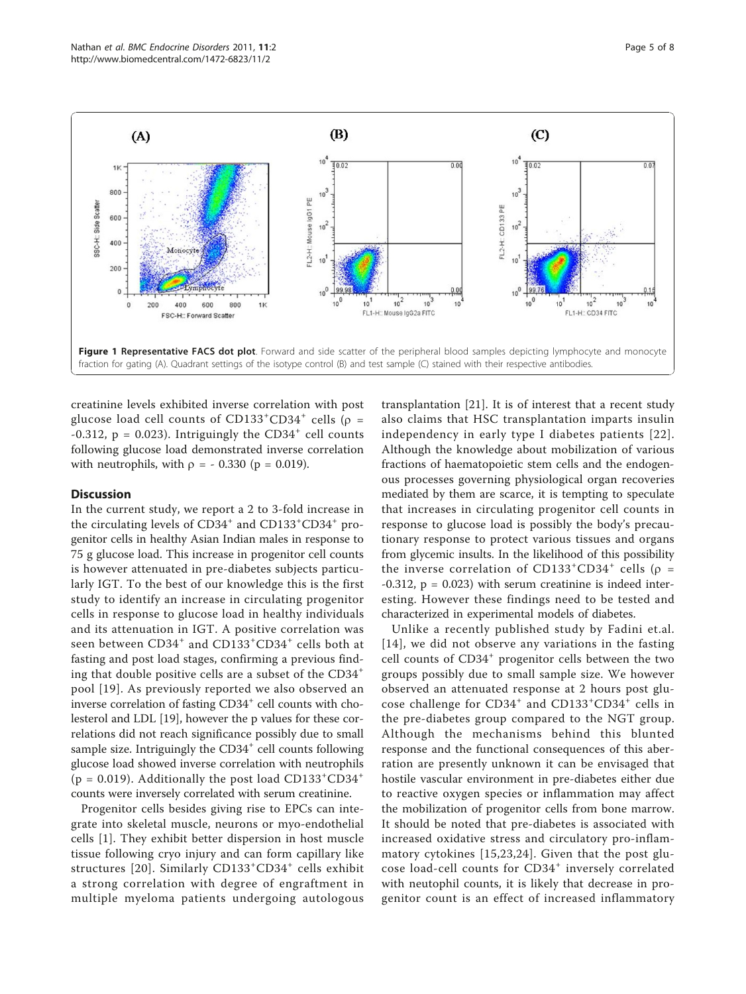<span id="page-4-0"></span>

creatinine levels exhibited inverse correlation with post glucose load cell counts of  $CD133^+CD34^+$  cells ( $\rho =$ -0.312,  $p = 0.023$ ). Intriguingly the CD34<sup>+</sup> cell counts following glucose load demonstrated inverse correlation with neutrophils, with  $\rho = -0.330$  ( $p = 0.019$ ).

#### **Discussion**

In the current study, we report a 2 to 3-fold increase in the circulating levels of CD34<sup>+</sup> and CD133<sup>+</sup>CD34<sup>+</sup> progenitor cells in healthy Asian Indian males in response to 75 g glucose load. This increase in progenitor cell counts is however attenuated in pre-diabetes subjects particularly IGT. To the best of our knowledge this is the first study to identify an increase in circulating progenitor cells in response to glucose load in healthy individuals and its attenuation in IGT. A positive correlation was seen between CD34<sup>+</sup> and CD133<sup>+</sup>CD34<sup>+</sup> cells both at fasting and post load stages, confirming a previous finding that double positive cells are a subset of the CD34<sup>+</sup> pool [\[19\]](#page-6-0). As previously reported we also observed an inverse correlation of fasting CD34<sup>+</sup> cell counts with cholesterol and LDL [[19](#page-6-0)], however the p values for these correlations did not reach significance possibly due to small sample size. Intriguingly the  $CD34<sup>+</sup>$  cell counts following glucose load showed inverse correlation with neutrophils  $(p = 0.019)$ . Additionally the post load CD133<sup>+</sup>CD34<sup>+</sup> counts were inversely correlated with serum creatinine.

Progenitor cells besides giving rise to EPCs can integrate into skeletal muscle, neurons or myo-endothelial cells [[1\]](#page-6-0). They exhibit better dispersion in host muscle tissue following cryo injury and can form capillary like structures [[20](#page-6-0)]. Similarly CD133<sup>+</sup>CD34<sup>+</sup> cells exhibit a strong correlation with degree of engraftment in multiple myeloma patients undergoing autologous

transplantation [\[21](#page-6-0)]. It is of interest that a recent study also claims that HSC transplantation imparts insulin independency in early type I diabetes patients [[22\]](#page-7-0). Although the knowledge about mobilization of various fractions of haematopoietic stem cells and the endogenous processes governing physiological organ recoveries mediated by them are scarce, it is tempting to speculate that increases in circulating progenitor cell counts in response to glucose load is possibly the body's precautionary response to protect various tissues and organs from glycemic insults. In the likelihood of this possibility the inverse correlation of CD133<sup>+</sup>CD34<sup>+</sup> cells ( $\rho$  =  $-0.312$ ,  $p = 0.023$ ) with serum creatinine is indeed interesting. However these findings need to be tested and characterized in experimental models of diabetes.

Unlike a recently published study by Fadini et.al. [[14\]](#page-6-0), we did not observe any variations in the fasting cell counts of CD34<sup>+</sup> progenitor cells between the two groups possibly due to small sample size. We however observed an attenuated response at 2 hours post glucose challenge for CD34<sup>+</sup> and CD133<sup>+</sup>CD34<sup>+</sup> cells in the pre-diabetes group compared to the NGT group. Although the mechanisms behind this blunted response and the functional consequences of this aberration are presently unknown it can be envisaged that hostile vascular environment in pre-diabetes either due to reactive oxygen species or inflammation may affect the mobilization of progenitor cells from bone marrow. It should be noted that pre-diabetes is associated with increased oxidative stress and circulatory pro-inflammatory cytokines [[15](#page-6-0),[23,24\]](#page-7-0). Given that the post glucose load-cell counts for CD34<sup>+</sup> inversely correlated with neutophil counts, it is likely that decrease in progenitor count is an effect of increased inflammatory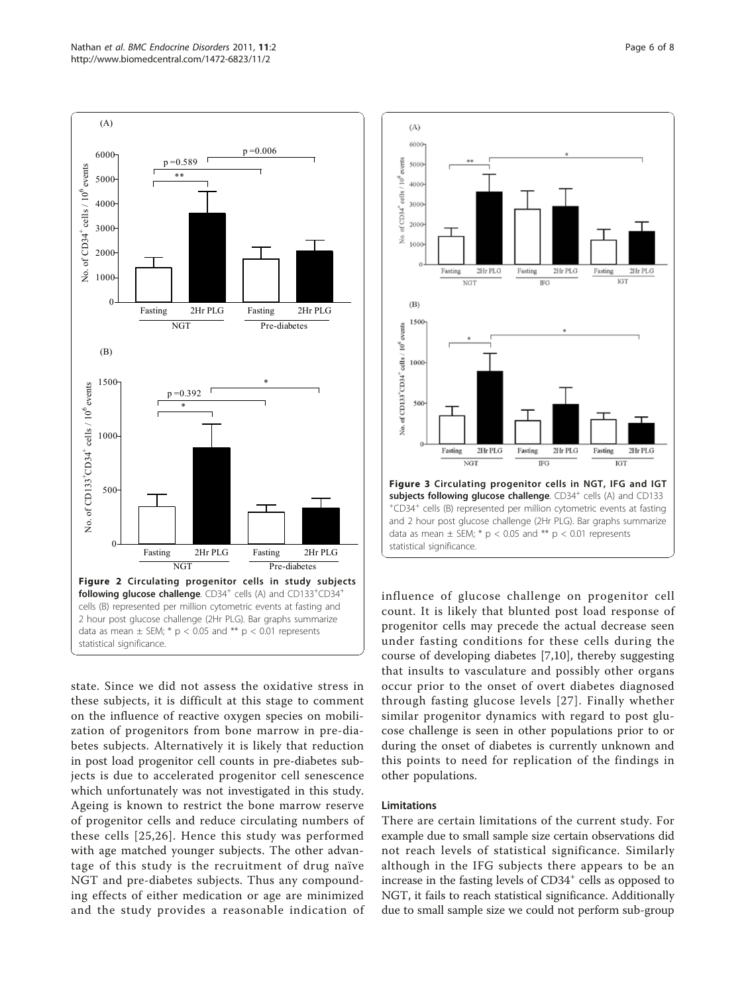<span id="page-5-0"></span>(A)





state. Since we did not assess the oxidative stress in these subjects, it is difficult at this stage to comment on the influence of reactive oxygen species on mobilization of progenitors from bone marrow in pre-diabetes subjects. Alternatively it is likely that reduction in post load progenitor cell counts in pre-diabetes subjects is due to accelerated progenitor cell senescence which unfortunately was not investigated in this study. Ageing is known to restrict the bone marrow reserve of progenitor cells and reduce circulating numbers of these cells [[25](#page-7-0),[26\]](#page-7-0). Hence this study was performed with age matched younger subjects. The other advantage of this study is the recruitment of drug naïve NGT and pre-diabetes subjects. Thus any compounding effects of either medication or age are minimized and the study provides a reasonable indication of



influence of glucose challenge on progenitor cell count. It is likely that blunted post load response of progenitor cells may precede the actual decrease seen under fasting conditions for these cells during the course of developing diabetes [[7,10](#page-6-0)], thereby suggesting that insults to vasculature and possibly other organs occur prior to the onset of overt diabetes diagnosed through fasting glucose levels [[27\]](#page-7-0). Finally whether similar progenitor dynamics with regard to post glucose challenge is seen in other populations prior to or during the onset of diabetes is currently unknown and this points to need for replication of the findings in other populations.

#### Limitations

There are certain limitations of the current study. For example due to small sample size certain observations did not reach levels of statistical significance. Similarly although in the IFG subjects there appears to be an increase in the fasting levels of  $CD34<sup>+</sup>$  cells as opposed to NGT, it fails to reach statistical significance. Additionally due to small sample size we could not perform sub-group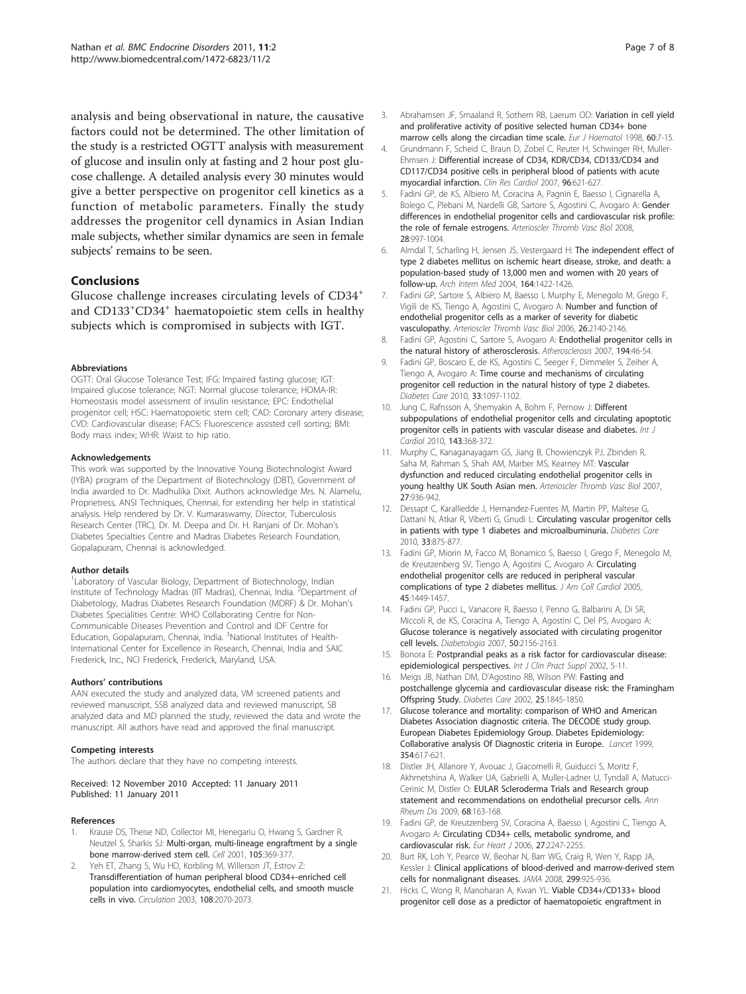<span id="page-6-0"></span>analysis and being observational in nature, the causative factors could not be determined. The other limitation of the study is a restricted OGTT analysis with measurement of glucose and insulin only at fasting and 2 hour post glucose challenge. A detailed analysis every 30 minutes would give a better perspective on progenitor cell kinetics as a function of metabolic parameters. Finally the study addresses the progenitor cell dynamics in Asian Indian male subjects, whether similar dynamics are seen in female subjects' remains to be seen.

# Conclusions

Glucose challenge increases circulating levels of CD34<sup>+</sup> and CD133<sup>+</sup>CD34<sup>+</sup> haematopoietic stem cells in healthy subjects which is compromised in subjects with IGT.

#### Abbreviations

OGTT: Oral Glucose Tolerance Test; IFG: Impaired fasting glucose; IGT: Impaired glucose tolerance; NGT: Normal glucose tolerance; HOMA-IR: Homeostasis model assessment of insulin resistance; EPC: Endothelial progenitor cell; HSC: Haematopoietic stem cell; CAD: Coronary artery disease; CVD: Cardiovascular disease; FACS: Fluorescence assisted cell sorting; BMI: Body mass index; WHR: Waist to hip ratio.

#### Acknowledgements

This work was supported by the Innovative Young Biotechnologist Award (IYBA) program of the Department of Biotechnology (DBT), Government of India awarded to Dr. Madhulika Dixit. Authors acknowledge Mrs. N. Alamelu, Proprietress, ANSI Techniques, Chennai, for extending her help in statistical analysis. Help rendered by Dr. V. Kumaraswamy, Director, Tuberculosis Research Center (TRC), Dr. M. Deepa and Dr. H. Ranjani of Dr. Mohan's Diabetes Specialties Centre and Madras Diabetes Research Foundation, Gopalapuram, Chennai is acknowledged.

#### Author details

<sup>1</sup> Laboratory of Vascular Biology, Department of Biotechnology, Indian Institute of Technology Madras (IIT Madras), Chennai, India. <sup>2</sup> Department of Diabetology, Madras Diabetes Research Foundation (MDRF) & Dr. Mohan's Diabetes Specialities Centre: WHO Collaborating Centre for Non-Communicable Diseases Prevention and Control and IDF Centre for Education, Gopalapuram, Chennai, India. <sup>3</sup>National Institutes of Health-International Center for Excellence in Research, Chennai, India and SAIC Frederick, Inc., NCI Frederick, Frederick, Maryland, USA.

#### Authors' contributions

AAN executed the study and analyzed data, VM screened patients and reviewed manuscript, SSB analyzed data and reviewed manuscript, SB analyzed data and MD planned the study, reviewed the data and wrote the manuscript. All authors have read and approved the final manuscript.

#### Competing interests

The authors declare that they have no competing interests.

#### Received: 12 November 2010 Accepted: 11 January 2011 Published: 11 January 2011

#### References

- Krause DS, Theise ND, Collector MI, Henegariu O, Hwang S, Gardner R, Neutzel S, Sharkis SJ: [Multi-organ, multi-lineage engraftment by a single](http://www.ncbi.nlm.nih.gov/pubmed/11348593?dopt=Abstract) [bone marrow-derived stem cell.](http://www.ncbi.nlm.nih.gov/pubmed/11348593?dopt=Abstract) Cell 2001, 105:369-377.
- Yeh ET, Zhang S, Wu HD, Korbling M, Willerson JT, Estrov Z: [Transdifferentiation of human peripheral blood CD34+-enriched cell](http://www.ncbi.nlm.nih.gov/pubmed/14568894?dopt=Abstract) [population into cardiomyocytes, endothelial cells, and smooth muscle](http://www.ncbi.nlm.nih.gov/pubmed/14568894?dopt=Abstract) [cells in vivo.](http://www.ncbi.nlm.nih.gov/pubmed/14568894?dopt=Abstract) Circulation 2003, 108:2070-2073.
- 3. Abrahamsen JF, Smaaland R, Sothern RB, Laerum OD: [Variation in cell yield](http://www.ncbi.nlm.nih.gov/pubmed/9451422?dopt=Abstract) [and proliferative activity of positive selected human CD34+ bone](http://www.ncbi.nlm.nih.gov/pubmed/9451422?dopt=Abstract) [marrow cells along the circadian time scale.](http://www.ncbi.nlm.nih.gov/pubmed/9451422?dopt=Abstract) Eur J Haematol 1998, 60:7-15.
- 4. Grundmann F, Scheid C, Braun D, Zobel C, Reuter H, Schwinger RH, Muller-Ehmsen J: [Differential increase of CD34, KDR/CD34, CD133/CD34 and](http://www.ncbi.nlm.nih.gov/pubmed/17676354?dopt=Abstract) [CD117/CD34 positive cells in peripheral blood of patients with acute](http://www.ncbi.nlm.nih.gov/pubmed/17676354?dopt=Abstract) [myocardial infarction.](http://www.ncbi.nlm.nih.gov/pubmed/17676354?dopt=Abstract) Clin Res Cardiol 2007, 96:621-627.
- 5. Fadini GP, de KS, Albiero M, Coracina A, Pagnin E, Baesso I, Cignarella A, Bolego C, Plebani M, Nardelli GB, Sartore S, Agostini C, Avogaro A: [Gender](http://www.ncbi.nlm.nih.gov/pubmed/18276910?dopt=Abstract) [differences in endothelial progenitor cells and cardiovascular risk profile:](http://www.ncbi.nlm.nih.gov/pubmed/18276910?dopt=Abstract) [the role of female estrogens.](http://www.ncbi.nlm.nih.gov/pubmed/18276910?dopt=Abstract) Arterioscler Thromb Vasc Biol 2008, 28:997-1004.
- 6. Almdal T, Scharling H, Jensen JS, Vestergaard H: [The independent effect of](http://www.ncbi.nlm.nih.gov/pubmed/15249351?dopt=Abstract) [type 2 diabetes mellitus on ischemic heart disease, stroke, and death: a](http://www.ncbi.nlm.nih.gov/pubmed/15249351?dopt=Abstract) [population-based study of 13,000 men and women with 20 years of](http://www.ncbi.nlm.nih.gov/pubmed/15249351?dopt=Abstract) [follow-up.](http://www.ncbi.nlm.nih.gov/pubmed/15249351?dopt=Abstract) Arch Intern Med 2004, 164:1422-1426.
- 7. Fadini GP, Sartore S, Albiero M, Baesso I, Murphy E, Menegolo M, Grego F, Vigili de KS, Tiengo A, Agostini C, Avogaro A: [Number and function of](http://www.ncbi.nlm.nih.gov/pubmed/16857948?dopt=Abstract) [endothelial progenitor cells as a marker of severity for diabetic](http://www.ncbi.nlm.nih.gov/pubmed/16857948?dopt=Abstract) [vasculopathy.](http://www.ncbi.nlm.nih.gov/pubmed/16857948?dopt=Abstract) Arterioscler Thromb Vasc Biol 2006, 26:2140-2146.
- 8. Fadini GP, Agostini C, Sartore S, Avogaro A: [Endothelial progenitor cells in](http://www.ncbi.nlm.nih.gov/pubmed/17493626?dopt=Abstract) [the natural history of atherosclerosis.](http://www.ncbi.nlm.nih.gov/pubmed/17493626?dopt=Abstract) Atherosclerosis 2007, 194:46-54.
- 9. Fadini GP, Boscaro E, de KS, Agostini C, Seeger F, Dimmeler S, Zeiher A, Tiengo A, Avogaro A: [Time course and mechanisms of circulating](http://www.ncbi.nlm.nih.gov/pubmed/20150295?dopt=Abstract) [progenitor cell reduction in the natural history of type 2 diabetes.](http://www.ncbi.nlm.nih.gov/pubmed/20150295?dopt=Abstract) Diabetes Care 2010, 33:1097-1102.
- 10. Jung C, Rafnsson A, Shemyakin A, Bohm F, Pernow J: [Different](http://www.ncbi.nlm.nih.gov/pubmed/19398138?dopt=Abstract) [subpopulations of endothelial progenitor cells and circulating apoptotic](http://www.ncbi.nlm.nih.gov/pubmed/19398138?dopt=Abstract) [progenitor cells in patients with vascular disease and diabetes.](http://www.ncbi.nlm.nih.gov/pubmed/19398138?dopt=Abstract) Int J Cardiol 2010, 143:368-372.
- 11. Murphy C, Kanaganayagam GS, Jiang B, Chowienczyk PJ, Zbinden R, Saha M, Rahman S, Shah AM, Marber MS, Kearney MT: [Vascular](http://www.ncbi.nlm.nih.gov/pubmed/17255539?dopt=Abstract) [dysfunction and reduced circulating endothelial progenitor cells in](http://www.ncbi.nlm.nih.gov/pubmed/17255539?dopt=Abstract) [young healthy UK South Asian men.](http://www.ncbi.nlm.nih.gov/pubmed/17255539?dopt=Abstract) Arterioscler Thromb Vasc Biol 2007, 27:936-942.
- 12. Dessapt C, Karalliedde J, Hernandez-Fuentes M, Martin PP, Maltese G, Dattani N, Atkar R, Viberti G, Gnudi L: [Circulating vascular progenitor cells](http://www.ncbi.nlm.nih.gov/pubmed/20067966?dopt=Abstract) [in patients with type 1 diabetes and microalbuminuria.](http://www.ncbi.nlm.nih.gov/pubmed/20067966?dopt=Abstract) Diabetes Care 2010, 33:875-877.
- 13. Fadini GP, Miorin M, Facco M, Bonamico S, Baesso I, Grego F, Menegolo M, de Kreutzenberg SV, Tiengo A, Agostini C, Avogaro A: [Circulating](http://www.ncbi.nlm.nih.gov/pubmed/15862417?dopt=Abstract) [endothelial progenitor cells are reduced in peripheral vascular](http://www.ncbi.nlm.nih.gov/pubmed/15862417?dopt=Abstract) [complications of type 2 diabetes mellitus.](http://www.ncbi.nlm.nih.gov/pubmed/15862417?dopt=Abstract) J Am Coll Cardiol 2005, 45:1449-1457.
- 14. Fadini GP, Pucci L, Vanacore R, Baesso I, Penno G, Balbarini A, Di SR, Miccoli R, de KS, Coracina A, Tiengo A, Agostini C, Del PS, Avogaro A: Glucose [tolerance is negatively associated with circulating progenitor](http://www.ncbi.nlm.nih.gov/pubmed/17579827?dopt=Abstract) [cell levels.](http://www.ncbi.nlm.nih.gov/pubmed/17579827?dopt=Abstract) Diabetologia 2007, 50:2156-2163.
- 15. Bonora E: [Postprandial peaks as a risk factor for cardiovascular disease:](http://www.ncbi.nlm.nih.gov/pubmed/12166607?dopt=Abstract) [epidemiological perspectives.](http://www.ncbi.nlm.nih.gov/pubmed/12166607?dopt=Abstract) Int J Clin Pract Suppl 2002, 5-11.
- 16. Meigs JB, Nathan DM, D'Agostino RB, Wilson PW: [Fasting and](http://www.ncbi.nlm.nih.gov/pubmed/12351489?dopt=Abstract) [postchallenge glycemia and cardiovascular disease risk: the Framingham](http://www.ncbi.nlm.nih.gov/pubmed/12351489?dopt=Abstract) [Offspring Study.](http://www.ncbi.nlm.nih.gov/pubmed/12351489?dopt=Abstract) Diabetes Care 2002, 25:1845-1850.
- 17. Glucose tolerance and mortality: comparison of WHO and American Diabetes Association diagnostic criteria. The DECODE study group. European Diabetes Epidemiology Group. Diabetes Epidemiology: Collaborative analysis Of Diagnostic criteria in Europe. Lancet 1999, 354:617-621.
- 18. Distler JH, Allanore Y, Avouac J, Giacomelli R, Guiducci S, Moritz F, Akhmetshina A, Walker UA, Gabrielli A, Muller-Ladner U, Tyndall A, Matucci-Cerinic M, Distler O: [EULAR Scleroderma Trials and Research group](http://www.ncbi.nlm.nih.gov/pubmed/18653485?dopt=Abstract) [statement and recommendations on endothelial precursor cells.](http://www.ncbi.nlm.nih.gov/pubmed/18653485?dopt=Abstract) Ann Rheum Dis 2009, 68:163-168.
- 19. Fadini GP, de Kreutzenberg SV, Coracina A, Baesso I, Agostini C, Tiengo A, Avogaro A: [Circulating CD34+ cells, metabolic syndrome, and](http://www.ncbi.nlm.nih.gov/pubmed/16912055?dopt=Abstract) [cardiovascular risk.](http://www.ncbi.nlm.nih.gov/pubmed/16912055?dopt=Abstract) Eur Heart J 2006, 27:2247-2255.
- 20. Burt RK, Loh Y, Pearce W, Beohar N, Barr WG, Craig R, Wen Y, Rapp JA, Kessler J: [Clinical applications of blood-derived and marrow-derived stem](http://www.ncbi.nlm.nih.gov/pubmed/18314435?dopt=Abstract) [cells for nonmalignant diseases.](http://www.ncbi.nlm.nih.gov/pubmed/18314435?dopt=Abstract) JAMA 2008, 299:925-936.
- 21. Hicks C, Wong R, Manoharan A, Kwan YL: [Viable CD34+/CD133+ blood](http://www.ncbi.nlm.nih.gov/pubmed/17492259?dopt=Abstract) [progenitor cell dose as a predictor of haematopoietic engraftment in](http://www.ncbi.nlm.nih.gov/pubmed/17492259?dopt=Abstract)